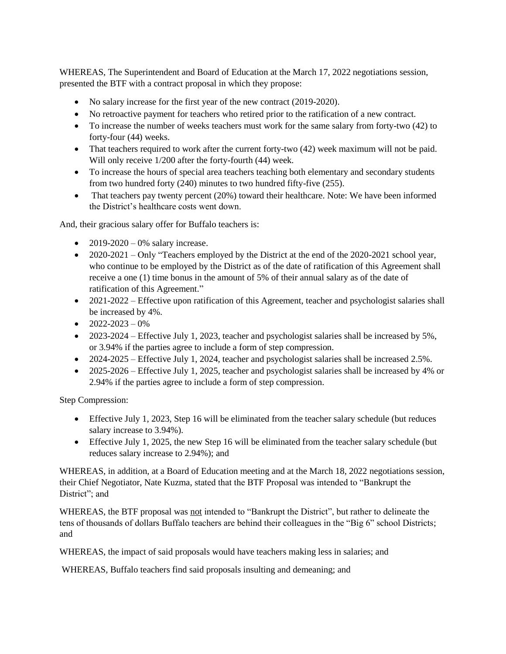WHEREAS, The Superintendent and Board of Education at the March 17, 2022 negotiations session, presented the BTF with a contract proposal in which they propose:

- No salary increase for the first year of the new contract (2019-2020).
- No retroactive payment for teachers who retired prior to the ratification of a new contract.
- To increase the number of weeks teachers must work for the same salary from forty-two (42) to forty-four (44) weeks.
- That teachers required to work after the current forty-two (42) week maximum will not be paid. Will only receive 1/200 after the forty-fourth (44) week.
- To increase the hours of special area teachers teaching both elementary and secondary students from two hundred forty (240) minutes to two hundred fifty-five (255).
- That teachers pay twenty percent (20%) toward their healthcare. Note: We have been informed the District's healthcare costs went down.

And, their gracious salary offer for Buffalo teachers is:

- $2019 2020 0\%$  salary increase.
- 2020-2021 Only "Teachers employed by the District at the end of the 2020-2021 school year, who continue to be employed by the District as of the date of ratification of this Agreement shall receive a one (1) time bonus in the amount of 5% of their annual salary as of the date of ratification of this Agreement."
- 2021-2022 Effective upon ratification of this Agreement, teacher and psychologist salaries shall be increased by 4%.
- $\bullet$  2022-2023 0%
- $\bullet$  2023-2024 Effective July 1, 2023, teacher and psychologist salaries shall be increased by 5%, or 3.94% if the parties agree to include a form of step compression.
- $\bullet$  2024-2025 Effective July 1, 2024, teacher and psychologist salaries shall be increased 2.5%.
- 2025-2026 Effective July 1, 2025, teacher and psychologist salaries shall be increased by 4% or 2.94% if the parties agree to include a form of step compression.

Step Compression:

- Effective July 1, 2023, Step 16 will be eliminated from the teacher salary schedule (but reduces salary increase to 3.94%).
- Effective July 1, 2025, the new Step 16 will be eliminated from the teacher salary schedule (but reduces salary increase to 2.94%); and

WHEREAS, in addition, at a Board of Education meeting and at the March 18, 2022 negotiations session, their Chief Negotiator, Nate Kuzma, stated that the BTF Proposal was intended to "Bankrupt the District"; and

WHEREAS, the BTF proposal was not intended to "Bankrupt the District", but rather to delineate the tens of thousands of dollars Buffalo teachers are behind their colleagues in the "Big 6" school Districts; and

WHEREAS, the impact of said proposals would have teachers making less in salaries; and

WHEREAS, Buffalo teachers find said proposals insulting and demeaning; and